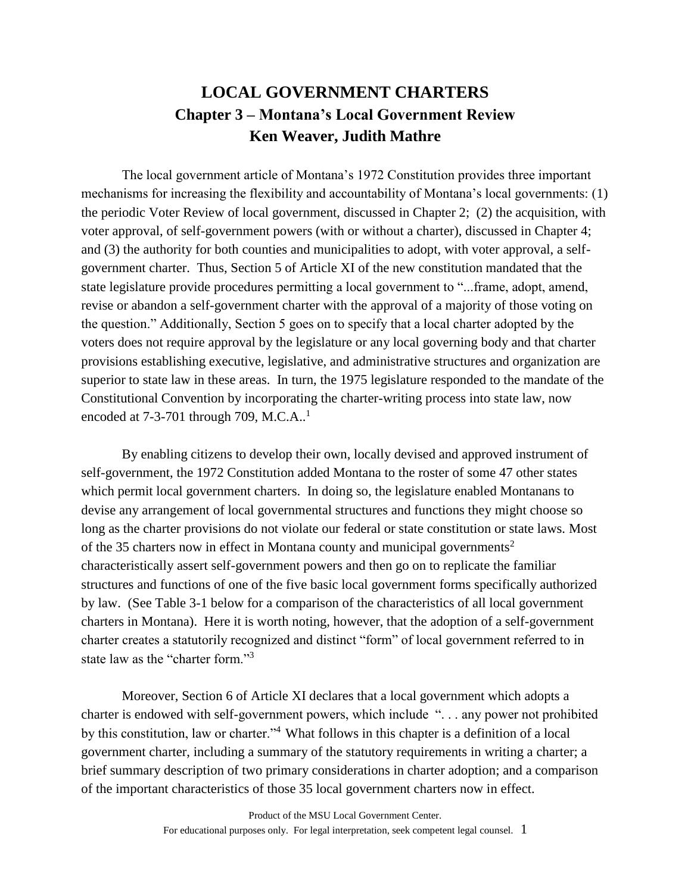## **LOCAL GOVERNMENT CHARTERS Chapter 3 – Montana's Local Government Review Ken Weaver, Judith Mathre**

The local government article of Montana's 1972 Constitution provides three important mechanisms for increasing the flexibility and accountability of Montana's local governments: (1) the periodic Voter Review of local government, discussed in Chapter 2; (2) the acquisition, with voter approval, of self-government powers (with or without a charter), discussed in Chapter 4; and (3) the authority for both counties and municipalities to adopt, with voter approval, a selfgovernment charter. Thus, Section 5 of Article XI of the new constitution mandated that the state legislature provide procedures permitting a local government to "...frame, adopt, amend, revise or abandon a self-government charter with the approval of a majority of those voting on the question." Additionally, Section 5 goes on to specify that a local charter adopted by the voters does not require approval by the legislature or any local governing body and that charter provisions establishing executive, legislative, and administrative structures and organization are superior to state law in these areas. In turn, the 1975 legislature responded to the mandate of the Constitutional Convention by incorporating the charter-writing process into state law, now encoded at  $7-3-701$  through 709, M.C.A..<sup>1</sup>

By enabling citizens to develop their own, locally devised and approved instrument of self-government, the 1972 Constitution added Montana to the roster of some 47 other states which permit local government charters. In doing so, the legislature enabled Montanans to devise any arrangement of local governmental structures and functions they might choose so long as the charter provisions do not violate our federal or state constitution or state laws. Most of the 35 charters now in effect in Montana county and municipal governments<sup>2</sup> characteristically assert self-government powers and then go on to replicate the familiar structures and functions of one of the five basic local government forms specifically authorized by law. (See Table 3-1 below for a comparison of the characteristics of all local government charters in Montana). Here it is worth noting, however, that the adoption of a self-government charter creates a statutorily recognized and distinct "form" of local government referred to in state law as the "charter form."<sup>3</sup>

Moreover, Section 6 of Article XI declares that a local government which adopts a charter is endowed with self-government powers, which include ". . . any power not prohibited by this constitution, law or charter."<sup>4</sup>What follows in this chapter is a definition of a local government charter, including a summary of the statutory requirements in writing a charter; a brief summary description of two primary considerations in charter adoption; and a comparison of the important characteristics of those 35 local government charters now in effect.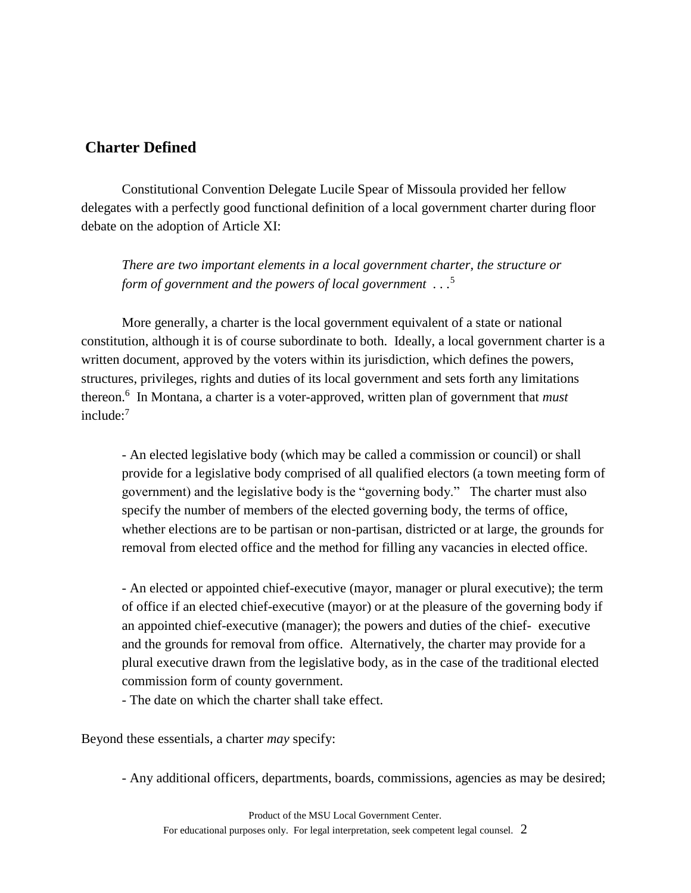## **Charter Defined**

Constitutional Convention Delegate Lucile Spear of Missoula provided her fellow delegates with a perfectly good functional definition of a local government charter during floor debate on the adoption of Article XI:

*There are two important elements in a local government charter, the structure or form of government and the powers of local government . . .*<sup>5</sup>

More generally, a charter is the local government equivalent of a state or national constitution, although it is of course subordinate to both. Ideally, a local government charter is a written document, approved by the voters within its jurisdiction, which defines the powers, structures, privileges, rights and duties of its local government and sets forth any limitations thereon.<sup>6</sup> In Montana, a charter is a voter-approved, written plan of government that *must*  include:<sup>7</sup>

- An elected legislative body (which may be called a commission or council) or shall provide for a legislative body comprised of all qualified electors (a town meeting form of government) and the legislative body is the "governing body." The charter must also specify the number of members of the elected governing body, the terms of office, whether elections are to be partisan or non-partisan, districted or at large, the grounds for removal from elected office and the method for filling any vacancies in elected office.

- An elected or appointed chief-executive (mayor, manager or plural executive); the term of office if an elected chief-executive (mayor) or at the pleasure of the governing body if an appointed chief-executive (manager); the powers and duties of the chief- executive and the grounds for removal from office. Alternatively, the charter may provide for a plural executive drawn from the legislative body, as in the case of the traditional elected commission form of county government.

- The date on which the charter shall take effect.

Beyond these essentials, a charter *may* specify:

- Any additional officers, departments, boards, commissions, agencies as may be desired;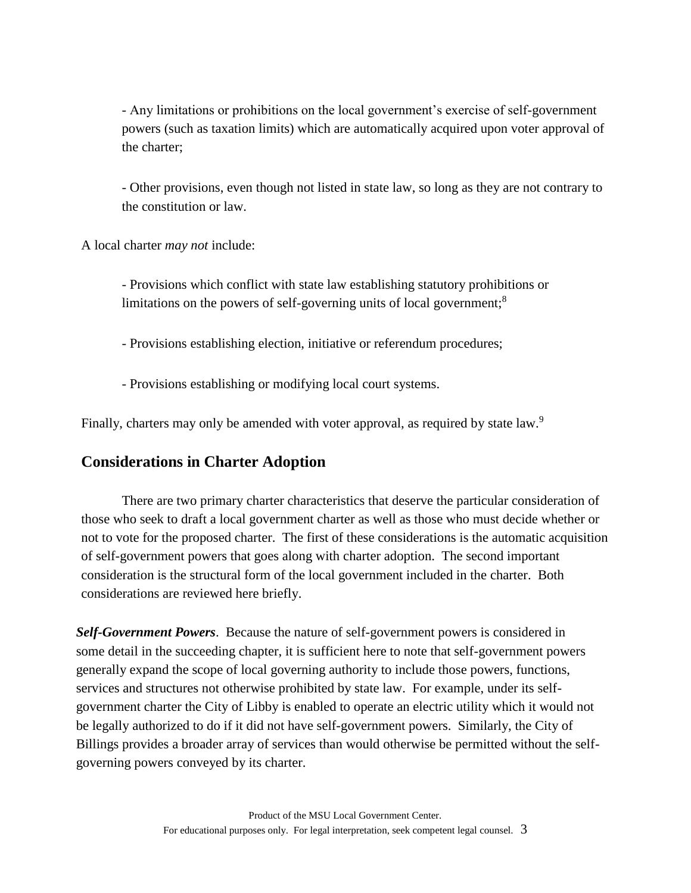- Any limitations or prohibitions on the local government's exercise of self-government powers (such as taxation limits) which are automatically acquired upon voter approval of the charter;

- Other provisions, even though not listed in state law, so long as they are not contrary to the constitution or law.

A local charter *may not* include:

- Provisions which conflict with state law establishing statutory prohibitions or limitations on the powers of self-governing units of local government;<sup>8</sup>

- Provisions establishing election, initiative or referendum procedures;

- Provisions establishing or modifying local court systems.

Finally, charters may only be amended with voter approval, as required by state law.<sup>9</sup>

## **Considerations in Charter Adoption**

There are two primary charter characteristics that deserve the particular consideration of those who seek to draft a local government charter as well as those who must decide whether or not to vote for the proposed charter. The first of these considerations is the automatic acquisition of self-government powers that goes along with charter adoption. The second important consideration is the structural form of the local government included in the charter. Both considerations are reviewed here briefly.

*Self-Government Powers*. Because the nature of self-government powers is considered in some detail in the succeeding chapter, it is sufficient here to note that self-government powers generally expand the scope of local governing authority to include those powers, functions, services and structures not otherwise prohibited by state law. For example, under its selfgovernment charter the City of Libby is enabled to operate an electric utility which it would not be legally authorized to do if it did not have self-government powers. Similarly, the City of Billings provides a broader array of services than would otherwise be permitted without the selfgoverning powers conveyed by its charter.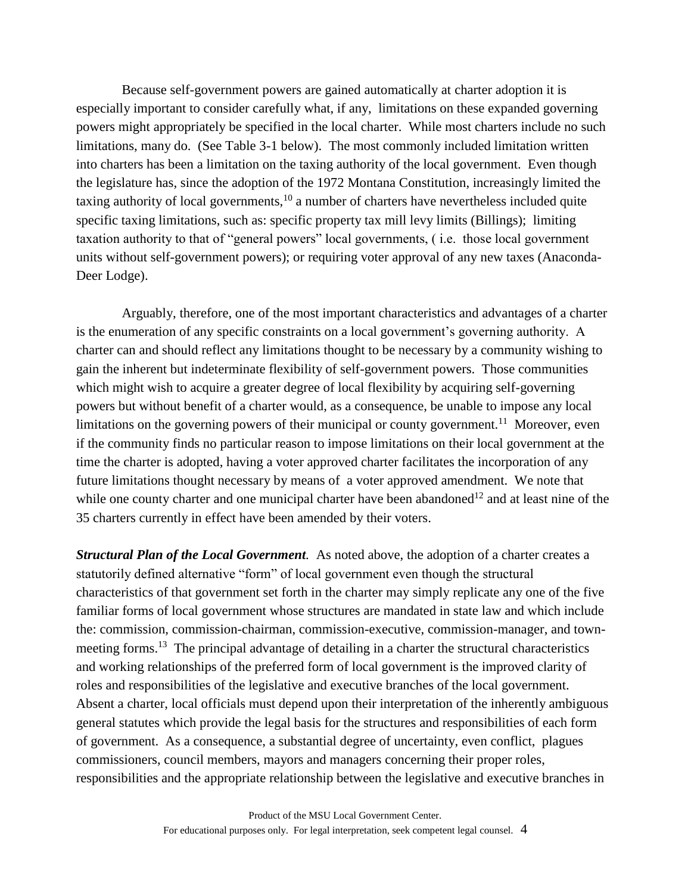Because self-government powers are gained automatically at charter adoption it is especially important to consider carefully what, if any, limitations on these expanded governing powers might appropriately be specified in the local charter. While most charters include no such limitations, many do. (See Table 3-1 below). The most commonly included limitation written into charters has been a limitation on the taxing authority of the local government. Even though the legislature has, since the adoption of the 1972 Montana Constitution, increasingly limited the taxing authority of local governments,  $10$  a number of charters have nevertheless included quite specific taxing limitations, such as: specific property tax mill levy limits (Billings); limiting taxation authority to that of "general powers" local governments, ( i.e. those local government units without self-government powers); or requiring voter approval of any new taxes (Anaconda-Deer Lodge).

Arguably, therefore, one of the most important characteristics and advantages of a charter is the enumeration of any specific constraints on a local government's governing authority. A charter can and should reflect any limitations thought to be necessary by a community wishing to gain the inherent but indeterminate flexibility of self-government powers. Those communities which might wish to acquire a greater degree of local flexibility by acquiring self-governing powers but without benefit of a charter would, as a consequence, be unable to impose any local limitations on the governing powers of their municipal or county government.<sup>11</sup> Moreover, even if the community finds no particular reason to impose limitations on their local government at the time the charter is adopted, having a voter approved charter facilitates the incorporation of any future limitations thought necessary by means of a voter approved amendment. We note that while one county charter and one municipal charter have been abandoned<sup>12</sup> and at least nine of the 35 charters currently in effect have been amended by their voters.

*Structural Plan of the Local Government.* As noted above, the adoption of a charter creates a statutorily defined alternative "form" of local government even though the structural characteristics of that government set forth in the charter may simply replicate any one of the five familiar forms of local government whose structures are mandated in state law and which include the: commission, commission-chairman, commission-executive, commission-manager, and townmeeting forms.<sup>13</sup> The principal advantage of detailing in a charter the structural characteristics and working relationships of the preferred form of local government is the improved clarity of roles and responsibilities of the legislative and executive branches of the local government. Absent a charter, local officials must depend upon their interpretation of the inherently ambiguous general statutes which provide the legal basis for the structures and responsibilities of each form of government. As a consequence, a substantial degree of uncertainty, even conflict, plagues commissioners, council members, mayors and managers concerning their proper roles, responsibilities and the appropriate relationship between the legislative and executive branches in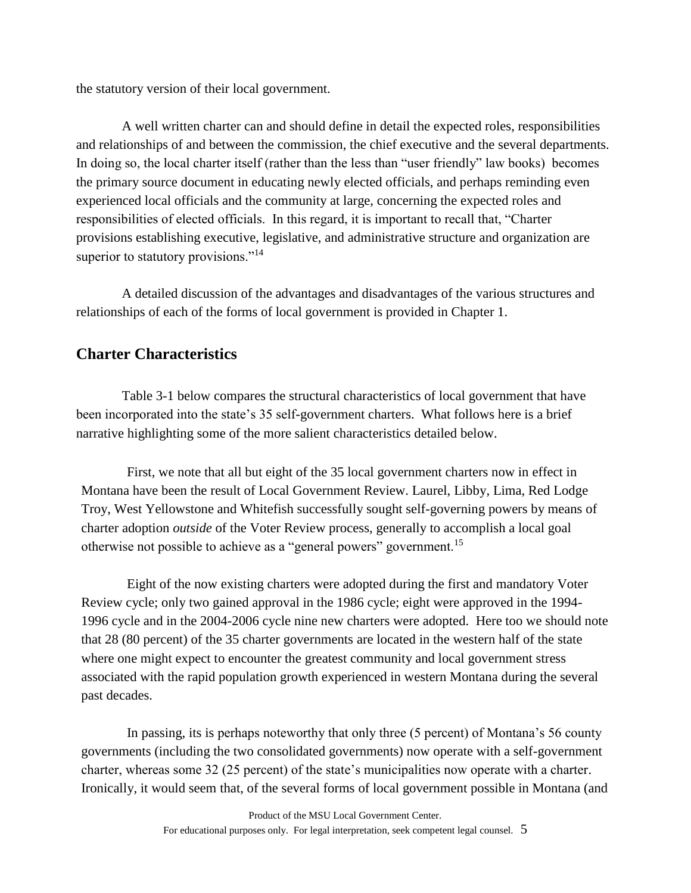the statutory version of their local government.

A well written charter can and should define in detail the expected roles, responsibilities and relationships of and between the commission, the chief executive and the several departments. In doing so, the local charter itself (rather than the less than "user friendly" law books) becomes the primary source document in educating newly elected officials, and perhaps reminding even experienced local officials and the community at large, concerning the expected roles and responsibilities of elected officials. In this regard, it is important to recall that, "Charter provisions establishing executive, legislative, and administrative structure and organization are superior to statutory provisions."<sup>14</sup>

A detailed discussion of the advantages and disadvantages of the various structures and relationships of each of the forms of local government is provided in Chapter 1.

## **Charter Characteristics**

Table 3-1 below compares the structural characteristics of local government that have been incorporated into the state's 35 self-government charters. What follows here is a brief narrative highlighting some of the more salient characteristics detailed below.

First, we note that all but eight of the 35 local government charters now in effect in Montana have been the result of Local Government Review. Laurel, Libby, Lima, Red Lodge Troy, West Yellowstone and Whitefish successfully sought self-governing powers by means of charter adoption *outside* of the Voter Review process, generally to accomplish a local goal otherwise not possible to achieve as a "general powers" government.<sup>15</sup>

Eight of the now existing charters were adopted during the first and mandatory Voter Review cycle; only two gained approval in the 1986 cycle; eight were approved in the 1994- 1996 cycle and in the 2004-2006 cycle nine new charters were adopted. Here too we should note that 28 (80 percent) of the 35 charter governments are located in the western half of the state where one might expect to encounter the greatest community and local government stress associated with the rapid population growth experienced in western Montana during the several past decades.

In passing, its is perhaps noteworthy that only three (5 percent) of Montana's 56 county governments (including the two consolidated governments) now operate with a self-government charter, whereas some 32 (25 percent) of the state's municipalities now operate with a charter. Ironically, it would seem that, of the several forms of local government possible in Montana (and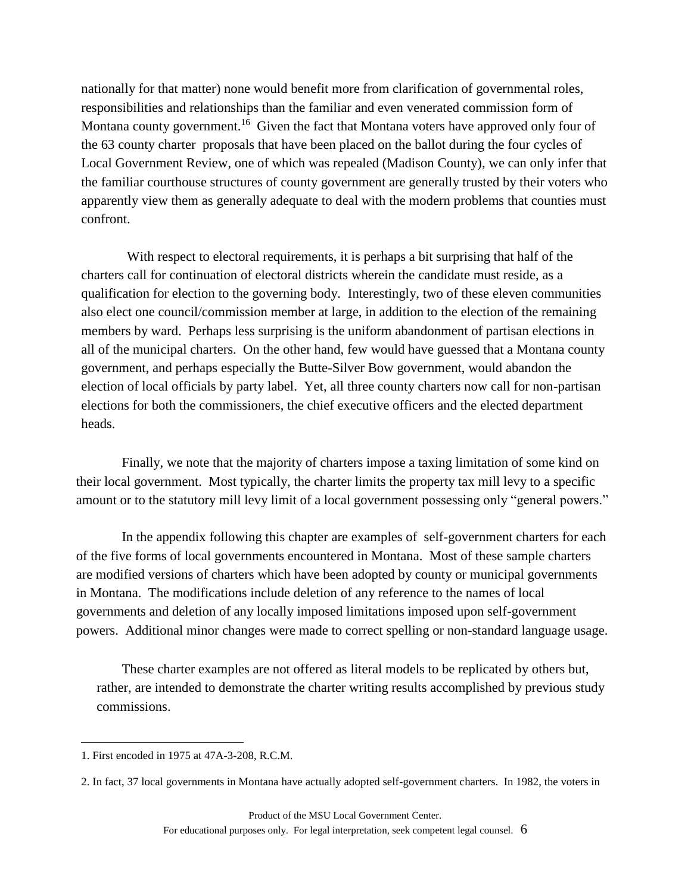nationally for that matter) none would benefit more from clarification of governmental roles, responsibilities and relationships than the familiar and even venerated commission form of Montana county government.<sup>16</sup> Given the fact that Montana voters have approved only four of the 63 county charter proposals that have been placed on the ballot during the four cycles of Local Government Review, one of which was repealed (Madison County), we can only infer that the familiar courthouse structures of county government are generally trusted by their voters who apparently view them as generally adequate to deal with the modern problems that counties must confront.

With respect to electoral requirements, it is perhaps a bit surprising that half of the charters call for continuation of electoral districts wherein the candidate must reside, as a qualification for election to the governing body. Interestingly, two of these eleven communities also elect one council/commission member at large, in addition to the election of the remaining members by ward. Perhaps less surprising is the uniform abandonment of partisan elections in all of the municipal charters. On the other hand, few would have guessed that a Montana county government, and perhaps especially the Butte-Silver Bow government, would abandon the election of local officials by party label. Yet, all three county charters now call for non-partisan elections for both the commissioners, the chief executive officers and the elected department heads.

Finally, we note that the majority of charters impose a taxing limitation of some kind on their local government. Most typically, the charter limits the property tax mill levy to a specific amount or to the statutory mill levy limit of a local government possessing only "general powers."

In the appendix following this chapter are examples of self-government charters for each of the five forms of local governments encountered in Montana. Most of these sample charters are modified versions of charters which have been adopted by county or municipal governments in Montana. The modifications include deletion of any reference to the names of local governments and deletion of any locally imposed limitations imposed upon self-government powers. Additional minor changes were made to correct spelling or non-standard language usage.

These charter examples are not offered as literal models to be replicated by others but, rather, are intended to demonstrate the charter writing results accomplished by previous study commissions.

 $\overline{a}$ 

<sup>1.</sup> First encoded in 1975 at 47A-3-208, R.C.M.

<sup>2.</sup> In fact, 37 local governments in Montana have actually adopted self-government charters. In 1982, the voters in